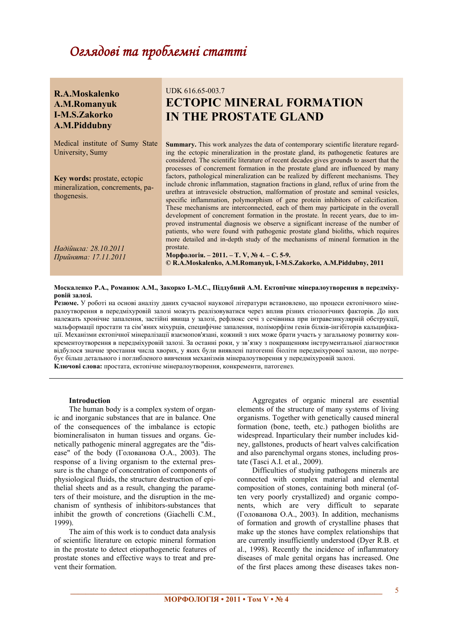# Оглядовітапроблемністатті

| R.A.Moskalenko<br>A.M.Romanyuk<br><b>I-M.S.Zakorko</b><br>A.M.Piddubny                 | UDK 616.65-003.7<br><b>ECTOPIC MINERAL FORMATION</b><br><b>IN THE PROSTATE GLAND</b>                                                                                                                                                                                                                                                                                                                                                                                                                                                                                                                                                                                                                                                                                                     |
|----------------------------------------------------------------------------------------|------------------------------------------------------------------------------------------------------------------------------------------------------------------------------------------------------------------------------------------------------------------------------------------------------------------------------------------------------------------------------------------------------------------------------------------------------------------------------------------------------------------------------------------------------------------------------------------------------------------------------------------------------------------------------------------------------------------------------------------------------------------------------------------|
| Medical institute of Sumy State<br>University, Sumy                                    | <b>Summary.</b> This work analyzes the data of contemporary scientific literature regard-<br>ing the ectopic mineralization in the prostate gland, its pathogenetic features are<br>considered. The scientific literature of recent decades gives grounds to assert that the<br>processes of concrement formation in the prostate gland are influenced by many                                                                                                                                                                                                                                                                                                                                                                                                                           |
| <b>Key words:</b> prostate, ectopic<br>mineralization, concrements, pa-<br>thogenesis. | factors, pathological mineralization can be realized by different mechanisms. They<br>include chronic inflammation, stagnation fractions in gland, reflux of urine from the<br>urethra at intravesicle obstruction, malformation of prostate and seminal vesicles,<br>specific inflammation, polymorphism of gene protein inhibitors of calcification.<br>These mechanisms are interconnected, each of them may participate in the overall<br>development of concrement formation in the prostate. In recent years, due to im-<br>proved instrumental diagnosis we observe a significant increase of the number of<br>patients, who were found with pathogenic prostate gland bioliths, which requires<br>more detailed and in-depth study of the mechanisms of mineral formation in the |
| Надійшла: 28.10.2011<br>Прийнята: 17.11.2011                                           | prostate.<br>Морфологія. – 2011. – Т. V, № 4. – С. 5-9.<br>© R.A.Moskalenko, A.M.Romanyuk, I-M.S.Zakorko, A.M.Piddubny, 2011                                                                                                                                                                                                                                                                                                                                                                                                                                                                                                                                                                                                                                                             |

#### Москаленко Р.А., Романюк А.М., Закорко І.-М.С., Піддубний А.М. Ектопічне мінералоутворення в передміху**ровій залозі.**

**Резюме.** У роботі на основі аналізу даних сучасної наукової літератури встановлено, що процеси ектопічного мінералоутворення в передміхуровій залозі можуть реалізовуватися через вплив різних етіологічних факторів. До них належать хронічне запалення, застійні явища у залозі, рефлюкс сечі з сечівника при інтравезикулярній обструкції, мальформації простати та сім'яних міхурців, специфічне запалення, поліморфізм генів білків-інгібіторів кальцифікації. Механізми ектопічної мінералізації взаємопов'язані, кожний з них може брати участь у загальному розвитку конкрементоутворення в передміхуровій залозі. За останні роки, у зв'язку з покращенням інструментальної діагностики відбулося значне зростання числа хворих, у яких були виявлені патогенні біоліти передміхурової залози, що потребує більш детального і поглибленого вивчення механізмів мінералоутворення у передміхуровій залозі. **Ключові слова:** простата, ектопічне мінералоутворення, конкременти, патогенез.

## **Introduction**

The human body is a complex system of organic and inorganic substances that are in balance. One of the consequences of the imbalance is ectopic biomineralisaton in human tissues and organs. Genetically pathogenic mineral aggregates are the "disease" of the body (Голованова О.А., 2003). The response of a living organism to the external pressure is the change of concentration of components of physiological fluids, the structure destruction of epithelial sheets and as a result, changing the parameters of their moisture, and the disruption in the mechanism of synthesis of inhibitors-substances that inhibit the growth of concretions (Giachelli C.M., 1999).

The aim of this work is to conduct data analysis of scientific literature on ectopic mineral formation in the prostate to detect etiopathogenetic features of prostate stones and effective ways to treat and prevent their formation.

Aggregates of organic mineral are essential elements of the structure of many systems of living organisms. Together with genetically caused mineral formation (bone, teeth, etc.) pathogen bioliths are widespread. Inparticulary their number includes kidney, gallstones, products of heart valves calcification and also parenchymal organs stones, including prostate (Tasci A.I. et al., 2009).

Difficulties of studying pathogens minerals are connected with complex material and elemental composition of stones, containing both mineral (often very poorly crystallized) and organic components, which are very difficult to separate (Голованова О.А., 2003). In addition, mechanisms of formation and growth of crystalline phases that make up the stones have complex relationships that are currently insufficiently understood (Dyer R.B. et al., 1998). Recently the incidence of inflammatory diseases of male genital organs has increased. One of the first places among these diseases takes non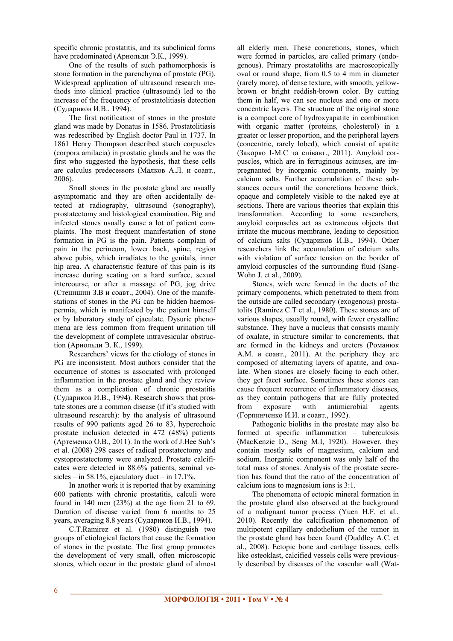specific chronic prostatitis, and its subclinical forms have predominated (Арнольди Э.К., 1999).

One of the results of such pathomorphosis is stone formation in the parenchyma of prostate (PG). Widespread application of ultrasound research methods into clinical practice (ultrasound) led to the increase of the frequency of prostatolitiasis detection (Судариков И.В., 1994).

The first notification of stones in the prostate gland was made by Donatus in 1586. Prostatolitiasis was redescribed by English doctor Paul in 1737. In 1861 Henry Thompson described starch corpuscles (corpora amilacia) in prostatic glands and he was the first who suggested the hypothesis, that these cells are calculus predecessors (Малков А.Л. и соавт., 2006).

Small stones in the prostate gland are usually asymptomatic and they are often accidentally detected at radiography, ultrasound (sonography), prostatectomy and histological examination. Big and infected stones usually cause a lot of patient complaints. The most frequent manifestation of stone formation in PG is the pain. Patients complain of pain in the perineum, lower back, spine, region above pubis, which irradiates to the genitals, inner hip area. A characteristic feature of this pain is its increase during seating on a hard surface, sexual intercourse, or after a massage of PG, jog drive (Стецишин З.В и соавт., 2004). One of the manifestations of stones in the PG can be hidden haemospermia, which is manifested by the patient himself or by laboratory study of ejaculate. Dysuric phenomena are less common from frequent urination till the development of complete intravesicular obstruction (Арнольди Э. К., 1999).

Researchers' views for the etiology of stones in PG are inconsistent. Most authors consider that the occurrence of stones is associated with prolonged inflammation in the prostate gland and they review them as a complication of chronic prostatitis (Судариков И.В., 1994). Research shows that prostate stones are a common disease (if it's studied with ultrasound research): by the analysis of ultrasound results of 990 patients aged 26 to 83, hyperechoic prostate inclusion detected in 472 (48%) patients (Артеменко О.В., 2011). In the work of J.Hee Suh's et al. (2008) 298 cases of radical prostatectomy and cystoprostatectomy were analyzed. Prostate calcificates were detected in 88.6% patients, seminal vesicles – in 58.1%, ejaculatory duct – in 17.1%.

In another work it is reported that by examining 600 patients with chronic prostatitis, calculi were found in 140 men  $(23%)$  at the age from 21 to 69. Duration of disease varied from 6 months to 25 years, averaging 8.8 years (Судариков И.В., 1994).

C.T.Ramirez et al. (1980) distinguish two groups of etiological factors that cause the formation of stones in the prostate. The first group promotes the development of very small, often microscopic stones, which occur in the prostate gland of almost all elderly men. These concretions, stones, which were formed in particles, are called primary (endogenous). Primary prostatoliths are macroscopically oval or round shape, from 0.5 to 4 mm in diameter (rarely more), of dense texture, with smooth, yellowbrown or bright reddish-brown color. By cutting them in half, we can see nucleus and one or more concentric layers. The structure of the original stone is a compact core of hydroxyapatite in combination with organic matter (proteins, cholesterol) in a greater or lesser proportion, and the peripheral layers (concentric, rarely lobed), which consist of apatite (Закорко І-M.С та співавт., 2011). Amyloid corpuscles, which are in ferruginous acinuses, are impregnanted by inorganic components, mainly by calcium salts. Further accumulation of these substances occurs until the concretions become thick, opaque and completely visible to the naked eye at sections. There are various theories that explain this transformation. According to some researchers, amyloid corpuscles act as extraneous objects that irritate the mucous membrane, leading to deposition of calcium salts (Судариков И.В., 1994). Other researchers link the accumulation of calcium salts with violation of surface tension on the border of amyloid corpuscles of the surrounding fluid (Sang-Wohn J. et al., 2009).

Stones, wich were formed in the ducts of the primary components, which penetrated to them from the outside are called secondary (exogenous) prostatolits (Ramirez C.T et al., 1980). These stones are of various shapes, usually round, with fewer crystalline substance. They have a nucleus that consists mainly of oxalate, in structure similar to concrements, that are formed in the kidneys and ureters (Романюк А.М. и соавт., 2011). At the periphery they are composed of alternating layers of apatite, and oxalate. When stones are closely facing to each other, they get facet surface. Sometimes these stones can cause frequent recurrence of inflammatory diseases, as they contain pathogens that are fully protected from exposure with antimicrobial agents (Горпинченко И.И. и соавт., 1992).

Pathogenic bioliths in the prostate may also be formed at specific inflammation – tuberculosis (MacKenzie D., Seng M.I, 1920). However, they contain mostly salts of magnesium, calcium and sodium. Inorganic component was only half of the total mass of stones. Analysis of the prostate secretion has found that the ratio of the concentration of calcium ions to magnesium ions is 3:1.

The phenomena of ectopic mineral formation in the prostate gland also observed at the background of a malignant tumor process (Yuen H.F. et al., 2010). Recently the calcification phenomenon of multipotent capillary endothelium of the tumor in the prostate gland has been found (Duddley A.C. et al., 2008). Ectopic bone and cartilage tissues, cells like osteoklast, calcified vessels cells were previously described by diseases of the vascular wall (Wat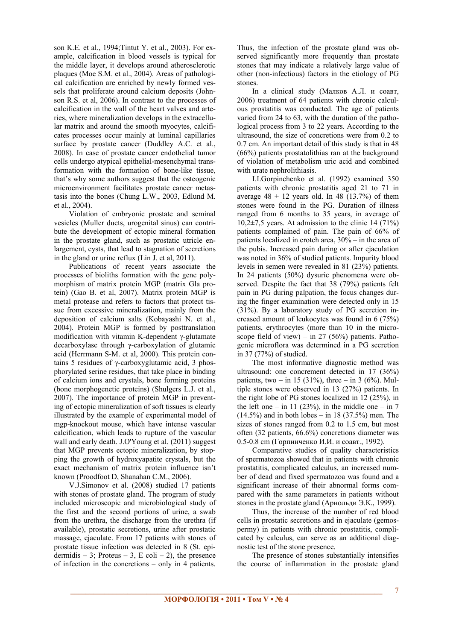son K.E. et al., 1994;Tintut Y. et al., 2003). For example, calcification in blood vessels is typical for the middle layer, it develops around atherosclerotic plaques (Moe S.M. et al., 2004). Areas of pathological calcification are enriched by newly formed vessels that proliferate around calcium deposits (Johnson R.S. et al, 2006). In contrast to the processes of calcification in the wall of the heart valves and arteries, where mineralization develops in the extracellular matrix and around the smooth myocytes, calcificates processes occur mainly at luminal capillaries surface by prostate cancer (Duddley A.C. et al., 2008). In case of prostate cancer endothelial tumor cells undergo atypical epithelial-mesenchymal transformation with the formation of bone-like tissue, that's why some authors suggest that the osteogenic microenvironment facilitates prostate cancer metastasis into the bones (Chung L.W., 2003, Edlund M. et al., 2004).

Violation of embryonic prostate and seminal vesicles (Muller ducts, urogenital sinus) can contribute the development of ectopic mineral formation in the prostate gland, such as prostatic utricle enlargement, cysts, that lead to stagnation of secretions in the gland or urine reflux (Lin J. et al, 2011).

Publications of recent years associate the processes of bioliths formation with the gene polymorphism of matrix protein MGP (matrix Gla protein) (Gao B. et al, 2007). Matrix protein MGP is metal protease and refers to factors that protect tissue from excessive mineralization, mainly from the deposition of calcium salts (Kobayashi N. et al., 2004). Protein MGP is formed by posttranslation modification with vitamin K-dependent γ-glutamate decarboxylase through γ-carboxylation of glutamic acid (Herrmann S-M. et al, 2000). This protein contains 5 residues of γ-carboxyglutamic acid, 3 phosphorylated serine residues, that take place in binding of calcium ions and crystals, bone forming proteins (bone morphogenetic proteins) (Shulgers L.J. et al., 2007). The importance of protein MGP in preventing of ectopic mineralization of soft tissues is clearly illustrated by the example of experimental model of mgp-knockout mouse, which have intense vascular calcification, which leads to rupture of the vascular wall and early death. J.O'Young et al. (2011) suggest that MGP prevents ectopic mineralization, by stopping the growth of hydroxyapatite crystals, but the exact mechanism of matrix protein influence isn't known (Proodfoot D, Shanahan C.M., 2006).

V.J.Simonov et al. (2008) studied 17 patients with stones of prostate gland. The program of study included microscopic and microbiological study of the first and the second portions of urine, a swab from the urethra, the discharge from the urethra (if available), prostatic secretions, urine after prostatic massage, ejaculate. From 17 patients with stones of prostate tissue infection was detected in 8 (St. epidermidis – 3; Proteus – 3, E coli – 2), the presence of infection in the concretions – only in 4 patients.

Thus, the infection of the prostate gland was observed significantly more frequently than prostate stones that may indicate a relatively large value of other (non-infectious) factors in the etiology of PG stones.

In a clinical study (Малков А.Л. и соавт, 2006) treatment of 64 patients with chronic calculous prostatitis was conducted. The age of patients varied from 24 to 63, with the duration of the pathological process from 3 to 22 years. According to the ultrasound, the size of concretions were from 0.2 to 0.7 cm. An important detail of this study is that in 48 (66%) patients prostatolithias ran at the background of violation of metabolism uric acid and combined with urate nephrolithiasis.

I.I.Gorpinchenko et al. (1992) examined 350 patients with chronic prostatitis aged 21 to 71 in average  $48 \pm 12$  years old. In 48 (13.7%) of them stones were found in the PG. Duration of illness ranged from 6 months to 35 years, in average of  $10,2\pm7,5$  years. At admission to the clinic 14 (71%) patients complained of pain. The pain of 66% of patients localized in crotch area, 30% – in the area of the pubis. Increased pain during or after ejaculation was noted in 36% of studied patients. Impurity blood levels in semen were revealed in 81 (23%) patients. In 24 patients (50%) dysuric phenomena were observed. Despite the fact that 38 (79%) patients felt pain in PG during palpation, the focus changes during the finger examination were detected only in 15 (31%). By a laboratory study of PG secretion increased amount of leukocytes was found in 6 (75%) patients, erythrocytes (more than 10 in the microscope field of view) – in 27 (56%) patients. Pathogenic microflora was determined in a PG secretion in 37 (77%) of studied.

The most informative diagnostic method was ultrasound: one concrement detected in 17 (36%) patients, two – in 15 (31%), three – in 3 (6%). Multiple stones were observed in 13 (27%) patients. In the right lobe of PG stones localized in 12 (25%), in the left one – in 11 (23%), in the middle one – in 7  $(14.5\%)$  and in both lobes – in 18 (37.5%) men. The sizes of stones ranged from 0.2 to 1.5 cm, but most often (32 patients, 66.6%) concretions diameter was 0.5-0.8 cm (Горпинченко И.И. и соавт., 1992).

Comparative studies of quality characteristics of spermatozoa showed that in patients with chronic prostatitis, complicated calculus, an increased number of dead and fixed spermatozoa was found and a significant increase of their abnormal forms compared with the same parameters in patients without stones in the prostate gland (Арнольди Э.К., 1999).

Thus, the increase of the number of red blood cells in prostatic secretions and in ejaculate (gemospermy) in patients with chronic prostatitis, complicated by calculus, can serve as an additional diagnostic test of the stone presence.

The presence of stones substantially intensifies the course of inflammation in the prostate gland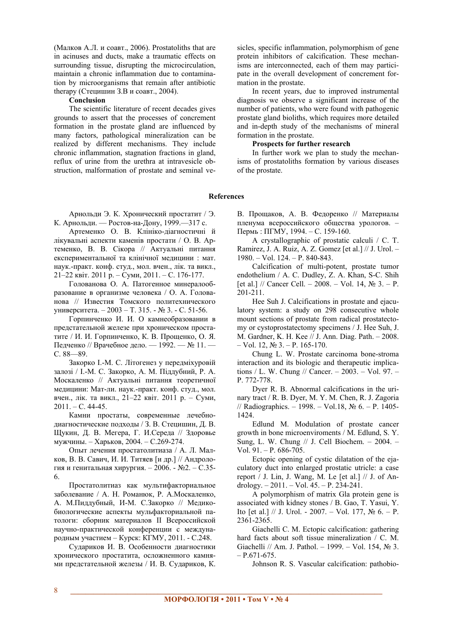(Малков А.Л. и соавт., 2006). Prostatoliths that are in acinuses and ducts, make a traumatic effects on surrounding tissue, disrupting the microcirculation, maintain a chronic inflammation due to contamination by microorganisms that remain after antibiotic therapy (Стецишин З.В и соавт., 2004).

#### **Conclusion**

The scientific literature of recent decades gives grounds to assert that the processes of concrement formation in the prostate gland are influenced by many factors, pathological mineralization can be realized by different mechanisms. They include chronic inflammation, stagnation fractions in gland, reflux of urine from the urethra at intravesicle obstruction, malformation of prostate and seminal vesicles, specific inflammation, polymorphism of gene protein inhibitors of calcification. These mechanisms are interconnected, each of them may participate in the overall development of concrement formation in the prostate.

In recent years, due to improved instrumental diagnosis we observe a significant increase of the number of patients, who were found with pathogenic prostate gland bioliths, which requires more detailed and in-depth study of the mechanisms of mineral formation in the prostate.

## **Prospects for further research**

In further work we plan to study the mechanisms of prostatoliths formation by various diseases of the prostate.

### **References**

Арнольди Э. К. Хронический простатит / Э. К. Арнольди. — Ростов-на-Дону, 1999.—317 с.

Артеменко О. В. Клініко-діагностичні й лікувальні аспекти каменів простати / О. В. Артеменко, В. В. Сікора // Актуальні питання експериментальної та клінічної медицини : мат. наук.-практ. конф. студ., мол. вчен., лік. та викл., 21–22 квіт. 2011 р. – Суми, 2011. – С. 176-177.

Голованова О. А. Патогенное минералообразование в организме человека / О. А. Голованова // Известия Томского политехнического университета. – 2003 – Т. 315. - № 3. - С. 51-56.

Горпинченко И. И. О камнеобразовании в предстательной железе при хроническом простатите / И. И. Горпинченко, К. В. Прощенко, О. Я. Педченко // Врачебное дело. — 1992. — № 11. — С. 88—89.

Закорко І.-М. С. Літогенез у передміхуровій залозі / І.-М. С. Закорко, А. М. Піддубний, Р. А. Москаленко // Актуальні питання теоретичної медицини: Мат-ли. наук.-практ. конф. студ., мол. вчен., лік. та викл., 21–22 квіт. 2011 р. – Суми,  $2011. - C.44-45.$ 

Камни простаты, современные лечебнодиагностические подходы / З. В. Стецишин, Д. В. Щукин, Д. В. Мегера, Г. И.Середа // Здоровье мужчины. – Харьков, 2004. – С.269-274.

Опыт лечения простатолитиаза / А. Л. Малков, В. В. Савич, И. И. Титяев [и др.] // Андрология и генитальная хирургия. – 2006. - №2. – С.35- 6.

Простатолитиаз как мультифакториальное заболевание / А. Н. Романюк, Р. А.Москаленко, А. М.Пиддубный, И-М. С.Закорко // Медикобиологические аспекты мульфакториальной патологи: сборник материалов ІІ Всероссийской научно-практической конференции с международным участием – Курск: КГМУ, 2011. - С.248.

Судариков И. В. Особенности диагностики хронического простатита, осложненного камнями предстательной железы / И. В. Судариков, К.

В. Прощаков, А. В. Федоренко // Материалы пленума всероссийского общества урологов. – Пермь : ПГМУ, 1994. – С. 159-160.

A crystallographic of prostatic calculi / C. T. Ramirez, J. A. Ruiz, A. Z. Gomez [et al.] // J. Urol. – 1980. – Vol. 124. – P. 840-843.

Calcification of multi-potent, prostate tumor endothelium / A. C. Dudley, Z. A. Khan, S-C. Shih [et al.] // Cancer Cell. – 2008. – Vol. 14,  $\mathbb{N}^2$  3. – P. 201-211.

Hee Suh J. Calcifications in prostate and ejaculatory system: a study on 298 consecutive whole mount sections of prostate from radical prostatectomy or cystoprostatectomy specimens / J. Hee Suh, J. M. Gardner, K. H. Kee // J. Ann. Diag. Path. – 2008.  $-$  Vol. 12,  $\mathcal{N}_2$  3. − P. 165-170.

Chung L. W. Prostate carcinoma bone-stroma interaction and its biologic and therapeutic implications / L. W. Chung // Cancer. – 2003. – Vol. 97. – P. 772-778.

Dyer R. B. Abnormal calcifications in the urinary tract / R. B. Dyer, M. Y. M. Chen, R. J. Zagoria // Radiographics. – 1998. – Vol.18, № 6. – P. 1405- 1424.

Edlund M. Modulation of prostate cancer growth in bone microenviroments / M. Edlund, S. Y. Sung, L. W. Chung // J. Cell Biochem. – 2004. – Vol. 91. – P. 686-705.

Ectopic opening of cystic dilatation of the ejaculatory duct into enlarged prostatic utricle: a case report / J. Lin, J. Wang, M. Le [et al.] // J. of Andrology. – 2011. – Vol. 45. – P. 234-241.

A polymorphism of matrix Gla protein gene is associated with kidney stones / B. Gao, T. Yasui, Y. Ito  $[et al.] \t/ \tJ. Urol. - 2007. - Vol. 177, N<sub>2</sub> 6. - P.$ 2361-2365.

Giachelli C. M. Ectopic calcification: gathering hard facts about soft tissue mineralization / C. M. Giachelli // Am. J. Pathol. – 1999. – Vol. 154, № 3.  $- P.671-675.$ 

Johnson R. S. Vascular calcification: pathobio-